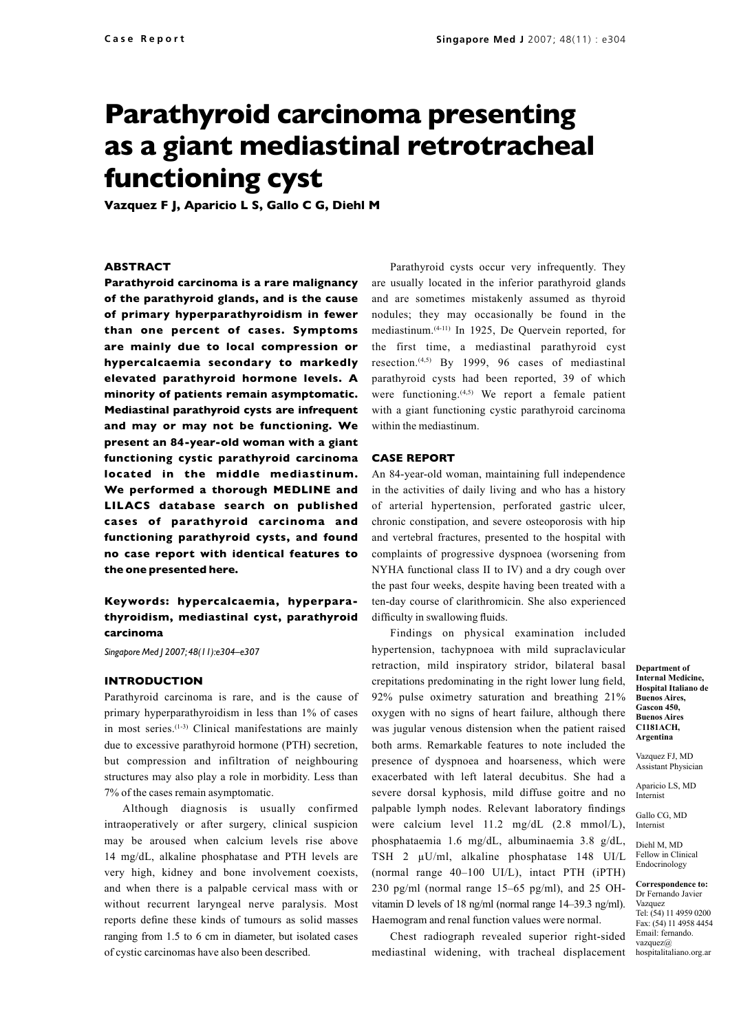# **Parathyroid carcinoma presenting as a giant mediastinal retrotracheal functioning cyst**

**Vazquez F J, Aparicio L S, Gallo C G, Diehl M**

#### **ABSTRACT**

**Parathyroid carcinoma is a rare malignancy of the parathyroid glands, and is the cause of primary hyperparathyroidism in fewer than one percent of cases. Symptoms are mainly due to local compression or hypercalcaemia secondary to markedly elevated parathyroid hormone levels. A minority of patients remain asymptomatic. Mediastinal parathyroid cysts are infrequent and may or may not be functioning. We present an 84-year-old woman with a giant functioning cystic parathyroid carcinoma located in the middle mediastinum. We performed a thorough MEDLINE and LILACS database search on published cases of parathyroid carcinoma and functioning parathyroid cysts, and found no case report with identical features to the one presented here.**

## **Keywords: hypercalcaemia, hyperparathyroidism, mediastinal cyst, parathyroid carcinoma**

*Singapore Med J 2007; 48(11):e304–e307*

#### **INTRODUCTION**

Parathyroid carcinoma is rare, and is the cause of primary hyperparathyroidism in less than 1% of cases in most series.(1-3) Clinical manifestations are mainly due to excessive parathyroid hormone (PTH) secretion, but compression and infiltration of neighbouring structures may also play a role in morbidity. Less than 7% of the cases remain asymptomatic.

Although diagnosis is usually confirmed intraoperatively or after surgery, clinical suspicion may be aroused when calcium levels rise above 14 mg/dL, alkaline phosphatase and PTH levels are very high, kidney and bone involvement coexists, and when there is a palpable cervical mass with or without recurrent laryngeal nerve paralysis. Most reports define these kinds of tumours as solid masses ranging from 1.5 to 6 cm in diameter, but isolated cases of cystic carcinomas have also been described.

Parathyroid cysts occur very infrequently. They are usually located in the inferior parathyroid glands and are sometimes mistakenly assumed as thyroid nodules; they may occasionally be found in the mediastinum.(4-11) In 1925, De Quervein reported, for the first time, a mediastinal parathyroid cyst resection.<sup> $(4,5)$ </sup> By 1999, 96 cases of mediastinal parathyroid cysts had been reported, 39 of which were functioning. $(4,5)$  We report a female patient with a giant functioning cystic parathyroid carcinoma within the mediastinum.

#### **CASE REPORT**

An 84-year-old woman, maintaining full independence in the activities of daily living and who has a history of arterial hypertension, perforated gastric ulcer, chronic constipation, and severe osteoporosis with hip and vertebral fractures, presented to the hospital with complaints of progressive dyspnoea (worsening from NYHA functional class II to IV) and a dry cough over the past four weeks, despite having been treated with a ten-day course of clarithromicin. She also experienced difficulty in swallowing fluids.

Findings on physical examination included hypertension, tachypnoea with mild supraclavicular retraction, mild inspiratory stridor, bilateral basal crepitations predominating in the right lower lung field, 92% pulse oximetry saturation and breathing 21% oxygen with no signs of heart failure, although there was jugular venous distension when the patient raised both arms. Remarkable features to note included the presence of dyspnoea and hoarseness, which were exacerbated with left lateral decubitus. She had a severe dorsal kyphosis, mild diffuse goitre and no palpable lymph nodes. Relevant laboratory findings were calcium level 11.2 mg/dL (2.8 mmol/L), phosphataemia 1.6 mg/dL, albuminaemia 3.8 g/dL, TSH 2 µU/ml, alkaline phosphatase 148 UI/L (normal range 40–100 UI/L), intact PTH (iPTH) 230 pg/ml (normal range 15–65 pg/ml), and 25 OHvitamin D levels of 18 ng/ml (normal range 14–39.3 ng/ml). Haemogram and renal function values were normal.

Chest radiograph revealed superior right-sided mediastinal widening, with tracheal displacement

**Department of Internal Medicine, Hospital Italiano de Buenos Aires, Gascon 450, Buenos Aires C1181ACH, Argentina**

Vazquez FJ, MD Assistant Physician

> Aparicio LS, MD Internist

Gallo CG, MD Internist

Diehl M, MD Fellow in Clinical Endocrinology

**Correspondence to:** Dr Fernando Javier Vazquez Tel: (54) 11 4959 0200 Fax: (54) 11 4958 4454 Email: fernando. vazquez@ hospitalitaliano.org.ar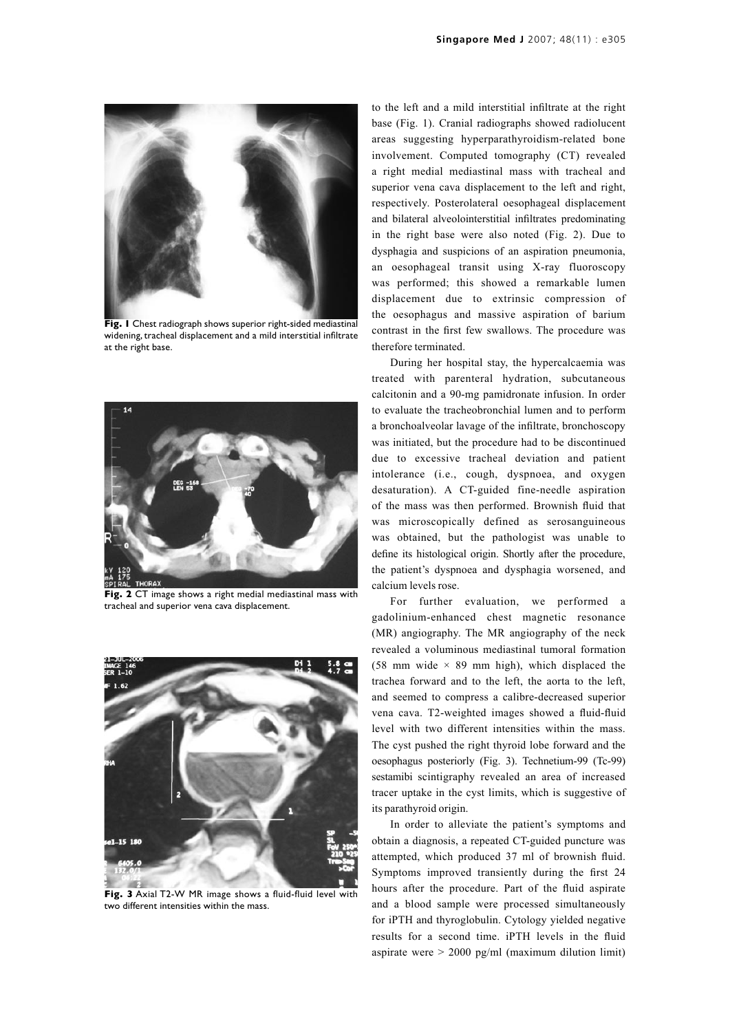

**Fig. 1** Chest radiograph shows superior right-sided mediastinal widening, tracheal displacement and a mild interstitial infiltrate at the right base.



**Fig. 2** CT image shows a right medial mediastinal mass with tracheal and superior vena cava displacement.



**Fig. 3** Axial T2-W MR image shows a fluid-fluid level with two different intensities within the mass.

to the left and a mild interstitial infiltrate at the right base (Fig. 1). Cranial radiographs showed radiolucent areas suggesting hyperparathyroidism-related bone involvement. Computed tomography (CT) revealed a right medial mediastinal mass with tracheal and superior vena cava displacement to the left and right, respectively. Posterolateral oesophageal displacement and bilateral alveolointerstitial infiltrates predominating in the right base were also noted (Fig. 2). Due to dysphagia and suspicions of an aspiration pneumonia, an oesophageal transit using X-ray fluoroscopy was performed; this showed a remarkable lumen displacement due to extrinsic compression of the oesophagus and massive aspiration of barium contrast in the first few swallows. The procedure was therefore terminated.

During her hospital stay, the hypercalcaemia was treated with parenteral hydration, subcutaneous calcitonin and a 90-mg pamidronate infusion. In order to evaluate the tracheobronchial lumen and to perform a bronchoalveolar lavage of the infiltrate, bronchoscopy was initiated, but the procedure had to be discontinued due to excessive tracheal deviation and patient intolerance (i.e., cough, dyspnoea, and oxygen desaturation). A CT-guided fine-needle aspiration of the mass was then performed. Brownish fluid that was microscopically defined as serosanguineous was obtained, but the pathologist was unable to define its histological origin. Shortly after the procedure, the patient's dyspnoea and dysphagia worsened, and calcium levels rose.

For further evaluation, we performed a gadolinium-enhanced chest magnetic resonance (MR) angiography. The MR angiography of the neck revealed a voluminous mediastinal tumoral formation (58 mm wide  $\times$  89 mm high), which displaced the trachea forward and to the left, the aorta to the left, and seemed to compress a calibre-decreased superior vena cava. T2-weighted images showed a fluid-fluid level with two different intensities within the mass. The cyst pushed the right thyroid lobe forward and the oesophagus posteriorly (Fig. 3). Technetium-99 (Tc-99) sestamibi scintigraphy revealed an area of increased tracer uptake in the cyst limits, which is suggestive of its parathyroid origin.

In order to alleviate the patient's symptoms and obtain a diagnosis, a repeated CT-guided puncture was attempted, which produced 37 ml of brownish fluid. Symptoms improved transiently during the first 24 hours after the procedure. Part of the fluid aspirate and a blood sample were processed simultaneously for iPTH and thyroglobulin. Cytology yielded negative results for a second time. iPTH levels in the fluid aspirate were  $> 2000$  pg/ml (maximum dilution limit)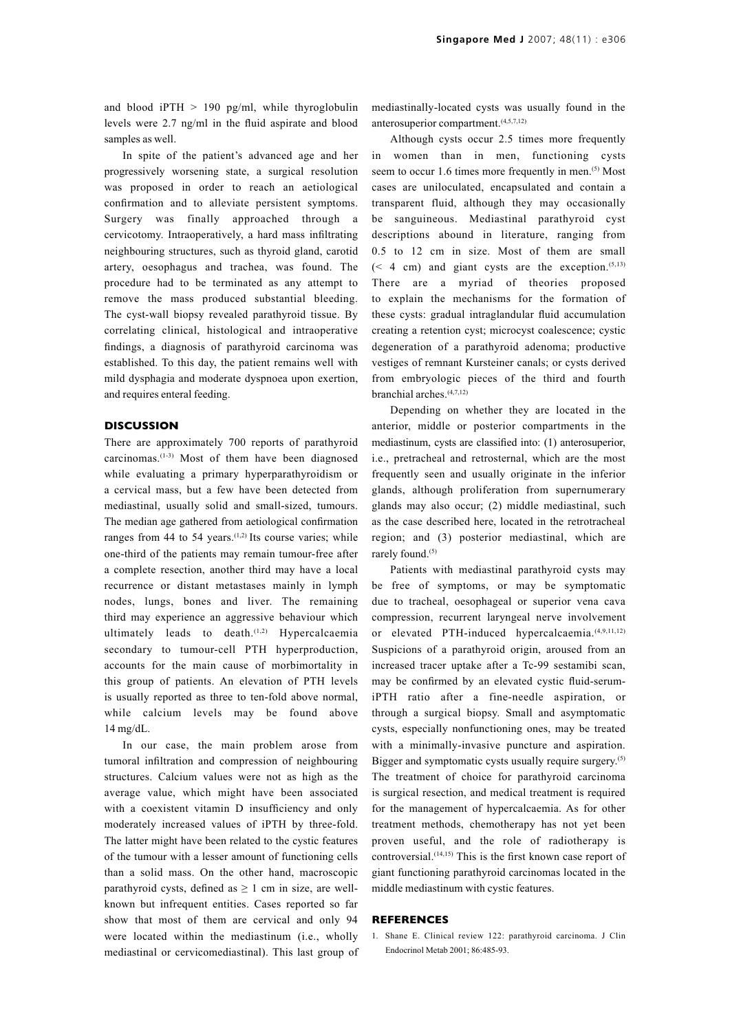and blood iPTH  $> 190$  pg/ml, while thyroglobulin levels were 2.7 ng/ml in the fluid aspirate and blood samples as well.

In spite of the patient's advanced age and her progressively worsening state, a surgical resolution was proposed in order to reach an aetiological confirmation and to alleviate persistent symptoms. Surgery was finally approached through a cervicotomy. Intraoperatively, a hard mass infiltrating neighbouring structures, such as thyroid gland, carotid artery, oesophagus and trachea, was found. The procedure had to be terminated as any attempt to remove the mass produced substantial bleeding. The cyst-wall biopsy revealed parathyroid tissue. By correlating clinical, histological and intraoperative findings, a diagnosis of parathyroid carcinoma was established. To this day, the patient remains well with mild dysphagia and moderate dyspnoea upon exertion, and requires enteral feeding.

#### **DISCUSSION**

There are approximately 700 reports of parathyroid carcinomas.(1-3) Most of them have been diagnosed while evaluating a primary hyperparathyroidism or a cervical mass, but a few have been detected from mediastinal, usually solid and small-sized, tumours. The median age gathered from aetiological confirmation ranges from 44 to 54 years.<sup> $(1,2)$ </sup> Its course varies; while one-third of the patients may remain tumour-free after a complete resection, another third may have a local recurrence or distant metastases mainly in lymph nodes, lungs, bones and liver. The remaining third may experience an aggressive behaviour which ultimately leads to death.<sup>(1,2)</sup> Hypercalcaemia secondary to tumour-cell PTH hyperproduction, accounts for the main cause of morbimortality in this group of patients. An elevation of PTH levels is usually reported as three to ten-fold above normal, while calcium levels may be found above 14 mg/dL.

In our case, the main problem arose from tumoral infiltration and compression of neighbouring structures. Calcium values were not as high as the average value, which might have been associated with a coexistent vitamin D insufficiency and only moderately increased values of iPTH by three-fold. The latter might have been related to the cystic features of the tumour with a lesser amount of functioning cells than a solid mass. On the other hand, macroscopic parathyroid cysts, defined as  $\geq 1$  cm in size, are wellknown but infrequent entities. Cases reported so far show that most of them are cervical and only 94 were located within the mediastinum (i.e., wholly mediastinal or cervicomediastinal). This last group of mediastinally-located cysts was usually found in the anterosuperior compartment.<sup>(4,5,7,12)</sup>

Although cysts occur 2.5 times more frequently in women than in men, functioning cysts seem to occur 1.6 times more frequently in men.<sup>(5)</sup> Most cases are uniloculated, encapsulated and contain a transparent fluid, although they may occasionally be sanguineous. Mediastinal parathyroid cyst descriptions abound in literature, ranging from 0.5 to 12 cm in size. Most of them are small  $(< 4$  cm) and giant cysts are the exception.<sup> $(5,13)$ </sup> There are a myriad of theories proposed to explain the mechanisms for the formation of these cysts: gradual intraglandular fluid accumulation creating a retention cyst; microcyst coalescence; cystic degeneration of a parathyroid adenoma; productive vestiges of remnant Kursteiner canals; or cysts derived from embryologic pieces of the third and fourth branchial arches.(4,7,12)

Depending on whether they are located in the anterior, middle or posterior compartments in the mediastinum, cysts are classified into: (1) anterosuperior, i.e., pretracheal and retrosternal, which are the most frequently seen and usually originate in the inferior glands, although proliferation from supernumerary glands may also occur; (2) middle mediastinal, such as the case described here, located in the retrotracheal region; and (3) posterior mediastinal, which are rarely found.<sup>(5)</sup>

Patients with mediastinal parathyroid cysts may be free of symptoms, or may be symptomatic due to tracheal, oesophageal or superior vena cava compression, recurrent laryngeal nerve involvement or elevated PTH-induced hypercalcaemia.<sup>(4,9,11,12)</sup> Suspicions of a parathyroid origin, aroused from an increased tracer uptake after a Tc-99 sestamibi scan, may be confirmed by an elevated cystic fluid-serumiPTH ratio after a fine-needle aspiration, or through a surgical biopsy. Small and asymptomatic cysts, especially nonfunctioning ones, may be treated with a minimally-invasive puncture and aspiration. Bigger and symptomatic cysts usually require surgery.<sup>(5)</sup> The treatment of choice for parathyroid carcinoma is surgical resection, and medical treatment is required for the management of hypercalcaemia. As for other treatment methods, chemotherapy has not yet been proven useful, and the role of radiotherapy is controversial.(14,15) This is the first known case report of giant functioning parathyroid carcinomas located in the middle mediastinum with cystic features.

### **REFERENCES**

1. Shane E. Clinical review 122: parathyroid carcinoma. J Clin Endocrinol Metab 2001; 86:485-93.